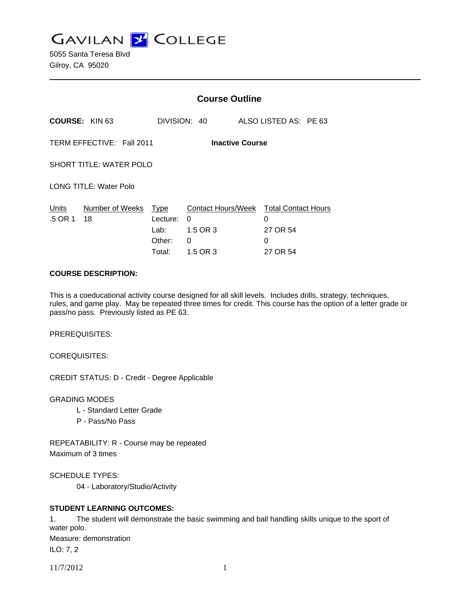

5055 Santa Teresa Blvd Gilroy, CA 95020

|                                                     |                       | <b>Course Outline</b>                               |                                                             |                                                              |  |
|-----------------------------------------------------|-----------------------|-----------------------------------------------------|-------------------------------------------------------------|--------------------------------------------------------------|--|
|                                                     | <b>COURSE: KIN 63</b> |                                                     | DIVISION: 40                                                | ALSO LISTED AS: PE 63                                        |  |
| TERM EFFECTIVE: Fall 2011<br><b>Inactive Course</b> |                       |                                                     |                                                             |                                                              |  |
| <b>SHORT TITLE: WATER POLO</b>                      |                       |                                                     |                                                             |                                                              |  |
| <b>LONG TITLE: Water Polo</b>                       |                       |                                                     |                                                             |                                                              |  |
| Units<br>.5 OR 1                                    | Number of Weeks<br>18 | <u>Type</u><br>Lecture:<br>Lab:<br>Other:<br>Total: | <b>Contact Hours/Week</b><br>0<br>1.5 OR 3<br>0<br>1.5 OR 3 | <b>Total Contact Hours</b><br>0<br>27 OR 54<br>0<br>27 OR 54 |  |

#### **COURSE DESCRIPTION:**

This is a coeducational activity course designed for all skill levels. Includes drills, strategy, techniques, rules, and game play. May be repeated three times for credit. This course has the option of a letter grade or pass/no pass. Previously listed as PE 63.

PREREQUISITES:

COREQUISITES:

CREDIT STATUS: D - Credit - Degree Applicable

GRADING MODES

- L Standard Letter Grade
- P Pass/No Pass

REPEATABILITY: R - Course may be repeated Maximum of 3 times

SCHEDULE TYPES:

04 - Laboratory/Studio/Activity

### **STUDENT LEARNING OUTCOMES:**

1. The student will demonstrate the basic swimming and ball handling skills unique to the sport of water polo. Measure: demonstration ILO: 7, 2

11/7/2012 1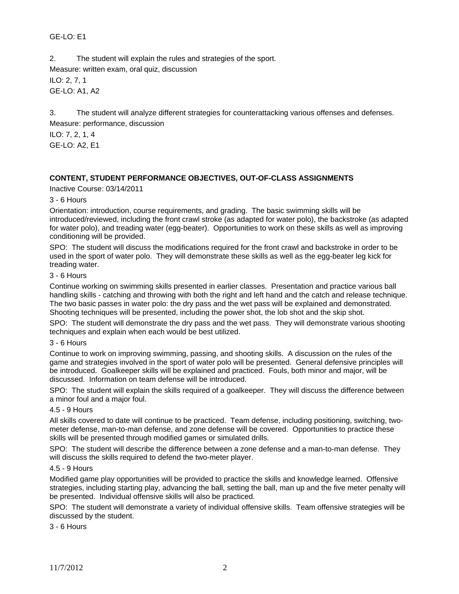# GE-LO: E1

2. The student will explain the rules and strategies of the sport. Measure: written exam, oral quiz, discussion ILO: 2, 7, 1 GE-LO: A1, A2

3. The student will analyze different strategies for counterattacking various offenses and defenses. Measure: performance, discussion

ILO: 7, 2, 1, 4 GE-LO: A2, E1

# **CONTENT, STUDENT PERFORMANCE OBJECTIVES, OUT-OF-CLASS ASSIGNMENTS**

Inactive Course: 03/14/2011

3 - 6 Hours

Orientation: introduction, course requirements, and grading. The basic swimming skills will be introduced/reviewed, including the front crawl stroke (as adapted for water polo), the backstroke (as adapted for water polo), and treading water (egg-beater). Opportunities to work on these skills as well as improving conditioning will be provided.

SPO: The student will discuss the modifications required for the front crawl and backstroke in order to be used in the sport of water polo. They will demonstrate these skills as well as the egg-beater leg kick for treading water.

### 3 - 6 Hours

Continue working on swimming skills presented in earlier classes. Presentation and practice various ball handling skills - catching and throwing with both the right and left hand and the catch and release technique. The two basic passes in water polo: the dry pass and the wet pass will be explained and demonstrated. Shooting techniques will be presented, including the power shot, the lob shot and the skip shot.

SPO: The student will demonstrate the dry pass and the wet pass. They will demonstrate various shooting techniques and explain when each would be best utilized.

3 - 6 Hours

Continue to work on improving swimming, passing, and shooting skills. A discussion on the rules of the game and strategies involved in the sport of water polo will be presented. General defensive principles will be introduced. Goalkeeper skills will be explained and practiced. Fouls, both minor and major, will be discussed. Information on team defense will be introduced.

SPO: The student will explain the skills required of a goalkeeper. They will discuss the difference between a minor foul and a major foul.

#### 4.5 - 9 Hours

All skills covered to date will continue to be practiced. Team defense, including positioning, switching, twometer defense, man-to-man defense, and zone defense will be covered. Opportunities to practice these skills will be presented through modified games or simulated drills.

SPO: The student will describe the difference between a zone defense and a man-to-man defense. They will discuss the skills required to defend the two-meter player.

### 4.5 - 9 Hours

Modified game play opportunities will be provided to practice the skills and knowledge learned. Offensive strategies, including starting play, advancing the ball, setting the ball, man up and the five meter penalty will be presented. Individual offensive skills will also be practiced.

SPO: The student will demonstrate a variety of individual offensive skills. Team offensive strategies will be discussed by the student.

3 - 6 Hours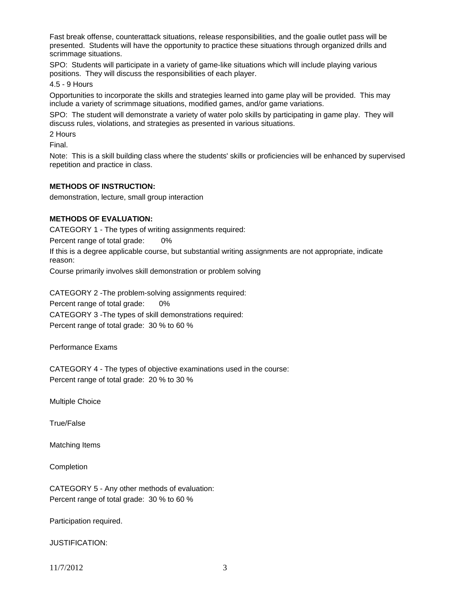Fast break offense, counterattack situations, release responsibilities, and the goalie outlet pass will be presented. Students will have the opportunity to practice these situations through organized drills and scrimmage situations.

SPO: Students will participate in a variety of game-like situations which will include playing various positions. They will discuss the responsibilities of each player.

4.5 - 9 Hours

Opportunities to incorporate the skills and strategies learned into game play will be provided. This may include a variety of scrimmage situations, modified games, and/or game variations.

SPO: The student will demonstrate a variety of water polo skills by participating in game play. They will discuss rules, violations, and strategies as presented in various situations.

2 Hours

Final.

Note: This is a skill building class where the students' skills or proficiencies will be enhanced by supervised repetition and practice in class.

### **METHODS OF INSTRUCTION:**

demonstration, lecture, small group interaction

## **METHODS OF EVALUATION:**

CATEGORY 1 - The types of writing assignments required:

Percent range of total grade: 0%

If this is a degree applicable course, but substantial writing assignments are not appropriate, indicate reason:

Course primarily involves skill demonstration or problem solving

CATEGORY 2 -The problem-solving assignments required: Percent range of total grade: 0% CATEGORY 3 -The types of skill demonstrations required: Percent range of total grade: 30 % to 60 %

Performance Exams

CATEGORY 4 - The types of objective examinations used in the course: Percent range of total grade: 20 % to 30 %

Multiple Choice

True/False

Matching Items

**Completion** 

CATEGORY 5 - Any other methods of evaluation: Percent range of total grade: 30 % to 60 %

Participation required.

JUSTIFICATION:

11/7/2012 3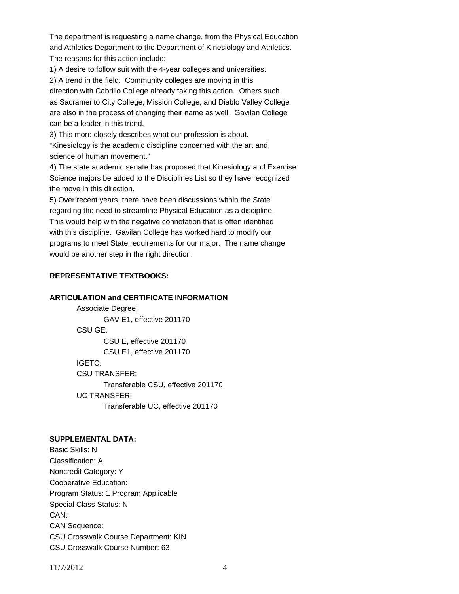The department is requesting a name change, from the Physical Education and Athletics Department to the Department of Kinesiology and Athletics. The reasons for this action include:

1) A desire to follow suit with the 4-year colleges and universities.

2) A trend in the field. Community colleges are moving in this direction with Cabrillo College already taking this action. Others such as Sacramento City College, Mission College, and Diablo Valley College are also in the process of changing their name as well. Gavilan College can be a leader in this trend.

3) This more closely describes what our profession is about. "Kinesiology is the academic discipline concerned with the art and science of human movement."

4) The state academic senate has proposed that Kinesiology and Exercise Science majors be added to the Disciplines List so they have recognized the move in this direction.

5) Over recent years, there have been discussions within the State regarding the need to streamline Physical Education as a discipline. This would help with the negative connotation that is often identified with this discipline. Gavilan College has worked hard to modify our programs to meet State requirements for our major. The name change would be another step in the right direction.

## **REPRESENTATIVE TEXTBOOKS:**

## **ARTICULATION and CERTIFICATE INFORMATION**

 Associate Degree: GAV E1, effective 201170 CSU GE: CSU E, effective 201170 CSU E1, effective 201170 IGETC: CSU TRANSFER: Transferable CSU, effective 201170 UC TRANSFER: Transferable UC, effective 201170

#### **SUPPLEMENTAL DATA:**

Basic Skills: N Classification: A Noncredit Category: Y Cooperative Education: Program Status: 1 Program Applicable Special Class Status: N CAN: CAN Sequence: CSU Crosswalk Course Department: KIN CSU Crosswalk Course Number: 63